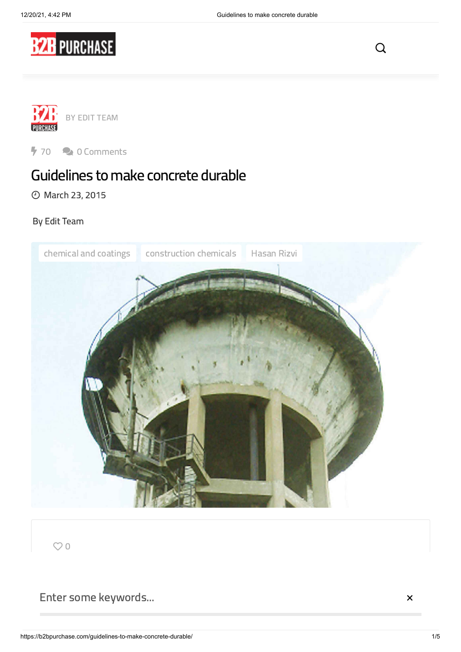

 $\Omega$ 



 $70$   $\rightarrow$  0 Comments

# Guidelines to make concrete durable

March 23, 2015

### By Edit [Team](https://b2bpurchase.com/author/editor/)



 $O<sub>0</sub>$ 

Enter some keywords...

 $\times$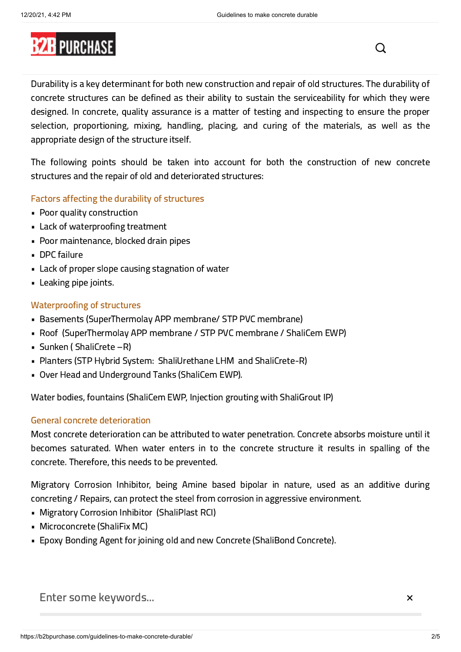

Durability is a key determinant for both new construction and repair of old structures. The durability of concrete structures can be defined as their ability to sustain the serviceability for which they were designed. In concrete, quality assurance is a matter of testing and inspecting to ensure the proper selection, proportioning, mixing, handling, placing, and curing of the materials, as well as the appropriate design of the structure itself.

The following points should be taken into account for both the construction of new concrete structures and the repair of old and deteriorated structures:

#### Factors affecting the durability of structures

- Poor quality construction
- Lack of waterproofing treatment
- Poor maintenance, blocked drain pipes
- DPC failure
- Lack of proper slope causing stagnation of water
- Leaking pipe joints.

#### Waterproofing of structures

- Basements (SuperThermolay APP membrane/ STP PVC membrane)
- Roof (SuperThermolay APP membrane / STP PVC membrane / ShaliCem EWP)
- Sunken ( ShaliCrete –R)
- Planters (STP Hybrid System: ShaliUrethane LHM and ShaliCrete-R)
- Over Head and Underground Tanks (ShaliCem EWP).

Water bodies, fountains (ShaliCem EWP, Injection grouting with ShaliGrout IP)

#### General concrete deterioration

Most concrete deterioration can be attributed to water penetration. Concrete absorbs moisture until it becomes saturated. When water enters in to the concrete structure it results in spalling of the concrete. Therefore, this needs to be prevented.

Migratory Corrosion Inhibitor, being Amine based bipolar in nature, used as an additive during concreting / Repairs, can protect the steel from corrosion in aggressive environment.

- Migratory Corrosion Inhibitor (ShaliPlast RCI)
- Microconcrete (ShaliFix MC)
- Epoxy Bonding Agent for joining old and new Concrete (ShaliBond Concrete).

should accentuate water-shedding characteristics for vertical elements — for example, the proper design detailed of window ledges can prevent the wall from wetting  $\alpha$ Enter some keywords...